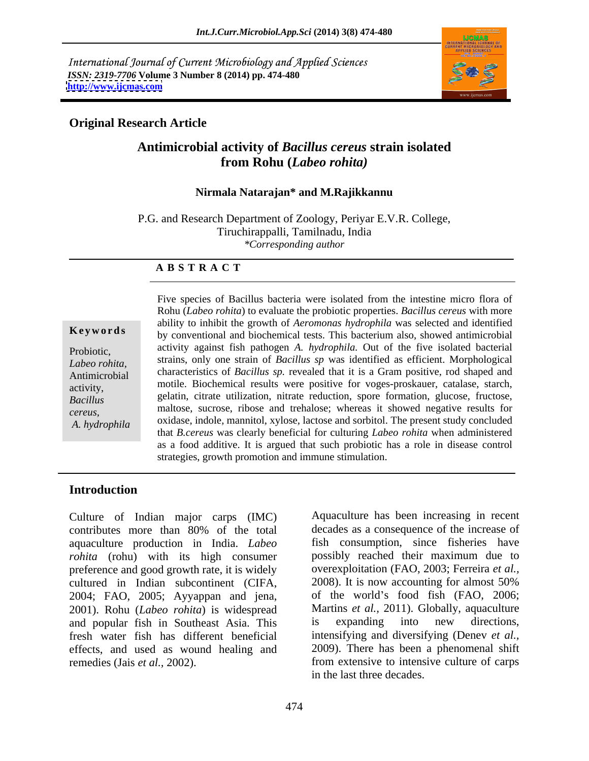International Journal of Current Microbiology and Applied Sciences *ISSN: 2319-7706* **Volume 3 Number 8 (2014) pp. 474-480 <http://www.ijcmas.com>**



### **Original Research Article**

# **Antimicrobial activity of** *Bacillus cereus* **strain isolated from Rohu (***Labeo rohita)*

### **Nirmala Natarajan\* and M.Rajikkannu**

P.G. and Research Department of Zoology, Periyar E.V.R. College, Tiruchirappalli, Tamilnadu, India *\*Corresponding author* 

### **A B S T R A C T**

**Keywords** by conventional and biochemical tests. This bacterium also, showed antimicrobial Probiotic, activity against fish pathogen *A. hydrophila.* Out of the five isolated bacterial *Labeo rohita,*  strains, only one strain of *Bacillus sp* was identified as efficient. Morphological Antimicrobial characteristics of *Bacillus sp.* revealed that it is a Gram positive, rod shaped and activity, motile. Biochemical results were positive for voges-proskauer, catalase, starch, *Bacillus*  gelatin, citrate utilization, nitrate reduction, spore formation, glucose, fructose, external maltose, sucrose, ribose and trehalose; whereas it showed negative results for maltose, sucrose, ribose and trehalose; whereas it showed negative results for *A. hydrophila* oxidase, indole, mannitol, xylose, lactose and sorbitol. The present study concluded and sorbitol. Five species of Bacillus bacteria were isolated from the intestine micro flora of Rohu (*Labeo rohita*) to evaluate the probiotic properties. *Bacillus cereus* with more ability to inhibit the growth of *Aeromonas hydrophila* was selected and identified that *B.cereus* was clearly beneficial for culturing *Labeo rohita* when administered as a food additive. It is argued that such probiotic has a role in disease control strategies, growth promotion and immune stimulation.

## **Introduction**

Culture of Indian major carps (IMC) contributes more than 80% of the total aquaculture production in India. *Labeo rohita* (rohu) with its high consumer preference and good growth rate, it is widely<br>cultured in Indian subcontinent (CIFA, 2008). It is now accounting for almost 50% cultured in Indian subcontinent (CIFA, 2004; FAO, 2005; Ayyappan and jena, 2001). Rohu (*Labeo rohita*) is widespread and popular fish in Southeast Asia. This fresh water fish has different beneficial effects, and used as wound healing and remedies (Jais *et al.,* 2002). from extensive to intensive culture of carps

Aquaculture has been increasing in recent decades as a consequence of the increase of fish consumption, since fisheries have possibly reached their maximum due to overexploitation (FAO, 2003; Ferreira *et al.,* 2008). It is now accounting for almost 50% of the world's food fish (FAO, 2006; Martins *et al.,* 2011). Globally, aquaculture is expanding into new directions, intensifying and diversifying (Denev *et al.,* 2009). There has been a phenomenal shift in the last three decades.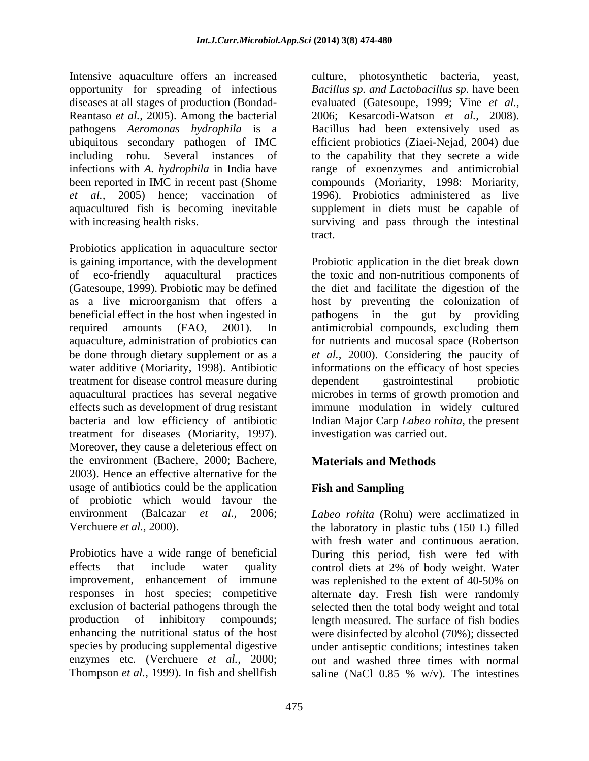Intensive aquaculture offers an increased culture, photosynthetic bacteria, yeast, opportunity for spreading of infectious diseases at all stages of production (Bondad- Reantaso *et al.,* 2005). Among the bacterial pathogens *Aeromonas hydrophila* is a Bacillus had been extensively used as ubiquitous secondary pathogen of IMC efficient probiotics (Ziaei-Nejad, 2004) due ubiquitous secondary pathogen of IMC efficient probiotics (Ziaei-Nejad, 2004) due including rohu. Several instances of to the capability that they secrete a wide infections with *A. hydrophila* in India have range of exoenzymes and antimicrobial been reported in IMC in recent past (Shome compounds (Moriarity, 1998: Moriarity, *et al.,* 2005) hence; vaccination of 1996). Probiotics administered as live aquacultured fish is becoming inevitable supplement in diets must be capable of with increasing health risks. Surviving and pass through the intestinal

Probiotics application in aquaculture sector is gaining importance, with the development of eco-friendly aquacultural practices the toxic and non-nutritious components of (Gatesoupe, 1999). Probiotic may be defined the diet and facilitate the digestion of the as a live microorganism that offers a host by preventing the colonization of beneficial effect in the host when ingested in required amounts (FAO, 2001). In antimicrobial compounds, excluding them aquaculture, administration of probiotics can for nutrients and mucosal space (Robertson be done through dietary supplement or as a *et al.,* 2000). Considering the paucity of water additive (Moriarity, 1998). Antibiotic treatment for disease control measure during dependent gastrointestinal probiotic aquacultural practices has several negative microbes in terms of growth promotion and effects such as development of drug resistant immune modulation in widely cultured bacteria and low efficiency of antibiotic Indian Major Carp *Labeo rohita*, the present treatment for diseases (Moriarity, 1997). Moreover, they cause a deleterious effect on the environment (Bachere, 2000; Bachere, 2003). Hence an effective alternative for the usage of antibiotics could be the application Fish and Sampling of probiotic which would favour the environment (Balcazar *et al.,* 2006; *Labeo rohita* (Rohu) were acclimatized in

Probiotics have a wide range of beneficial During this period, fish were fed with effects that include water quality control diets at 2% of body weight. Water improvement, enhancement of immune was replenished to the extent of 40-50% on responses in host species; competitive alternate day. Fresh fish were randomly exclusion of bacterial pathogens through the selected then the total body weight and total production of inhibitory compounds; length measured. The surface of fish bodies enhancing the nutritional status of the host were disinfected by alcohol (70%); dissected species by producing supplemental digestive under antiseptic conditions; intestines taken enzymes etc. (Verchuere *et al.,* 2000; out and washed three times with normal Thompson *et al.,* 1999). In fish and shellfish

*Bacillus sp. and Lactobacillus sp.* have been evaluated (Gatesoupe, 1999; Vine *et al.,* 2006; Kesarcodi-Watson *et al.,* 2008). Bacillus had been extensively used as tract.

Probiotic application in the diet break down pathogens in the gut by providing informations on the efficacy of host species dependent gastrointestinal probiotic investigation was carried out.

# **Materials and Methods**

# **Fish and Sampling**

Verchuere *et al.*, 2000). the laboratory in plastic tubs (150 L) filled with fresh water and continuous aeration. saline (NaCl  $0.85 \%$  w/v). The intestines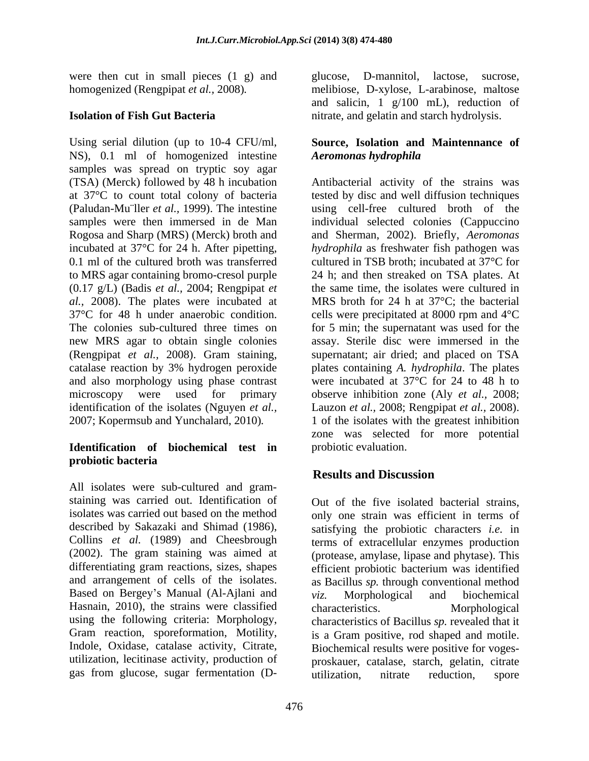were then cut in small pieces (1 g) and glucose, D-mannitol, lactose, sucrose,

Using serial dilution (up to 10-4 CFU/ml, **Source, Isolation and Maintennance of** NS), 0.1 ml of homogenized intestine Aeromonas hydrophila samples was spread on tryptic soy agar (TSA) (Merck) followed by 48 h incubation Antibacterial activity of the strains was at 37°C to count total colony of bacteria tested by disc and well diffusion techniques (Paludan-Mu¨ller *et al.,* 1999). The intestine using cell-free cultured broth of the samples were then immersed in de Man individual selected colonies (Cappuccino Rogosa and Sharp (MRS) (Merck) broth and and Sherman, 2002). Briefly, *Aeromonas*  incubated at 37°C for 24 h. After pipetting, *hydrophila* as freshwater fish pathogen was 0.1 ml of the cultured broth was transferred cultured in TSB broth; incubated at 37<sup>o</sup>C for to MRS agar containing bromo-cresol purple 24 h; and then streaked on TSA plates. At (0.17 g/L) (Badis *et al.,* 2004; Rengpipat *et al.*, 2008). The plates were incubated at 37°C for 48 h under anaerobic condition. 37<sup>o</sup>C for 48 h under anaerobic condition. cells were precipitated at 8000 rpm and 4<sup>o</sup>C The colonies sub-cultured three times on for 5 min; the supernatant was used for the new MRS agar to obtain single colonies assay. Sterile disc were immersed in the (Rengpipat *et al.,* 2008). Gram staining, catalase reaction by 3% hydrogen peroxide and also morphology using phase contrast were incubated at 37°C for 24 to 48 h to microscopy were used for primary observe inhibition zone (Aly *et al.,* 2008; identification of the isolates (Nguyen *et al.,* Lauzon *et al.,* 2008; Rengpipat *et al.,* 2008). 2007; Kopermsub and Yunchalard, 2010)*.* 1 of the isolates with the greatest inhibition

## **Identification of biochemical test in probiotic bacteria**

All isolates were sub-cultured and gram staining was carried out. Identification of Out of the five isolated bacterial strains, isolates was carried out based on the method differentiating gram reactions, sizes, shapes Based on Bergey's Manual (Al-Ajlani and  $viz$ . Morphological and biochemical Hasnain, 2010), the strains were classified characteristics. Morphological using the following criteria: Morphology,

homogenized (Rengpipat *et al.,* 2008)*.* melibiose, D-xylose, L-arabinose, maltose **Isolation of Fish Gut Bacteria** hitrate, and gelatin and starch hydrolysis. glucose, D-mannitol, lactose, and salicin, 1 g/100 mL), reduction of

# *Aeromonas hydrophila*

the same time, the isolates were cultured in MRS broth for 24 h at  $37^{\circ}$ C; the bacterial supernatant; air dried; and placed on TSA plates containing *A. hydrophila*. The plates zone was selected for more potential probiotic evaluation.

# **Results and Discussion**

described by Sakazaki and Shimad (1986), satisfying the probiotic characters *i.e.* in Collins *et al.* (1989) and Cheesbrough terms of extracellular enzymes production (2002). The gram staining was aimed at (protease, amylase, lipase and phytase). This and arrangement of cells of the isolates. as Bacillus *sp.* through conventional method Gram reaction, sporeformation, Motility, is a Gram positive, rod shaped and motile. Indole, Oxidase, catalase activity, Citrate, Biochemical results were positive for vogesutilization, lecitinase activity, production of proskauer, catalase, starch, gelatin, citrate gas from glucose, sugar fermentation (D-<br>utilization, nitrate reduction, spore only one strain was efficient in terms of efficient probiotic bacterium was identified *viz.* Morphological and biochemical characteristics. Morphological characteristics of Bacillus *sp.* revealed that it utilization, nitrate reduction, spore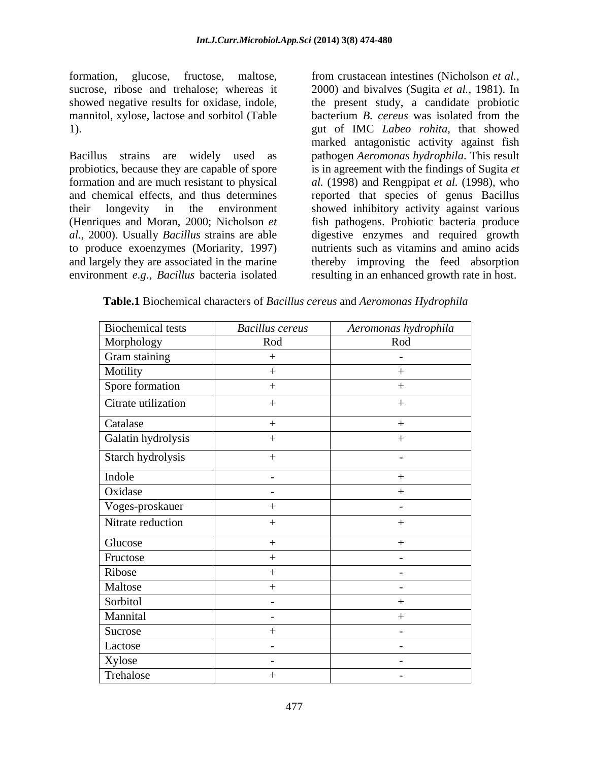formation, glucose, fructose, maltose, from crustacean intestines (Nicholson *et al.,*

Bacillus strains are widely used as pathogen *Aeromonas hydrophila*. This result probiotics, because they are capable of spore is in agreement with the findings of Sugita *et*  formation and are much resistant to physical *al.* (1998) and Rengpipat *et al.* (1998), who and chemical effects, and thus determines reported that species of genus Bacillus their longevity in the environment showed inhibitory activity against various (Henriques and Moran, 2000; Nicholson *et*  fish pathogens. Probiotic bacteria produce *al.,* 2000). Usually *Bacillus* strains are able digestive enzymes and required growth to produce exoenzymes (Moriarity, 1997) and largely they are associated in the marine environment *e.g., Bacillus* bacteria isolated

sucrose, ribose and trehalose; whereas it 2000) and bivalves (Sugita *et al.,* 1981). In showed negative results for oxidase, indole, the present study, a candidate probiotic mannitol, xylose, lactose and sorbitol (Table bacterium *B. cereus* was isolated from the 1). gut of IMC *Labeo rohita*, that showed marked antagonistic activity against fish nutrients such as vitamins and amino acids thereby improving the feed absorption resulting in an enhanced growth rate in host.

| Biochemical tests   | <b>Bacillus</b> cereus   | Aeromonas hydrophila |
|---------------------|--------------------------|----------------------|
| Morphology          | Rod                      | Rod                  |
| Gram staining       | $+$                      | $\sim$ $-$           |
| Motility            |                          |                      |
| Spore formation     | $+$                      | $+$                  |
| Citrate utilization |                          | $+$                  |
| Catalase            | $+$                      | $+$                  |
| Galatin hydrolysis  |                          |                      |
| Starch hydrolysis   | $+$                      | $\sim$               |
| Indole              | $\overline{a}$           |                      |
| Oxidase             | $\overline{\phantom{a}}$ | $+$                  |
| Voges-proskauer     | $\overline{+}$           | $\sim$               |
| Nitrate reduction   | $+$                      | $+$                  |
| Glucose             | $+$                      | $+$                  |
| Fructose            | $+$                      | $\sim$               |
| Ribose              |                          | $\sim$               |
| Maltose             | $+$                      | $\sim$               |
| Sorbitol            | $\sim$                   |                      |
| Mannital            | $\overline{\phantom{a}}$ | $+$                  |
| Sucrose             | $+$                      | $\sim$ $-$           |
| Lactose             | $\sim$                   | $\sim$ $-$           |
| Xylose<br>Trehalose | $\sim$                   | $\sim$ $-$           |
|                     | $+$                      | $\sim$ $-$           |

**Table.1** Biochemical characters of *Bacillus cereus* and *Aeromonas Hydrophila*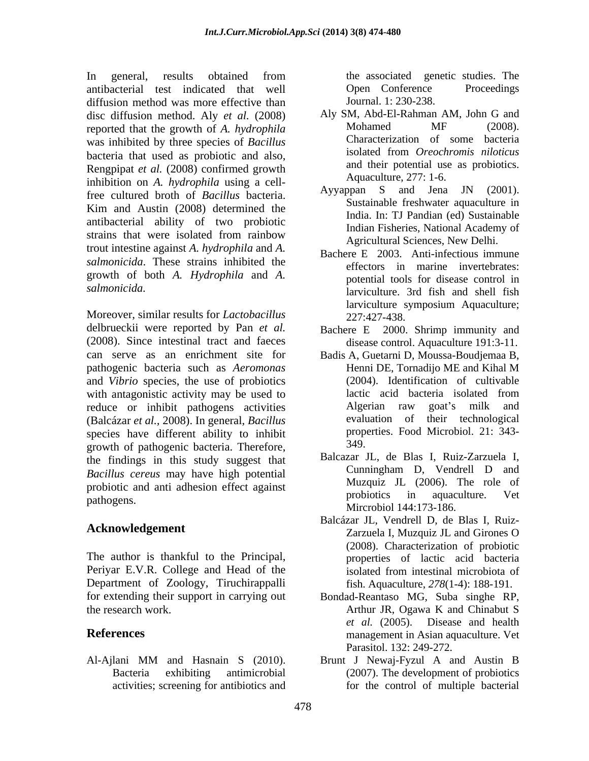In general, results obtained from the associated genetic studies. The antibacterial test indicated that well diffusion method was more effective than disc diffusion method. Aly *et al.* (2008) Aly SM, Abd-El-Rahman AM, John G and reported that the growth of A *hydrophila* Mohamed MF (2008). reported that the growth of *A. hydrophila* was inhibited by three species of *Bacillus*<br>because of *Bacillus* Characterization of some bacteria<br>isolated from *Oreochromis niloticus* bacteria that used as probiotic and also, Rengpipat *et al.* (2008) confirmed growth inhibition on *A. hydrophila* using a cell-<br>free outward broth of *Basillus* bectaric and Ayyappan S and Jena JN (2001). free cultured broth of *Bacillus* bacteria. Kim and Austin (2008) determined the antibacterial ability of two probiotic strains that were isolated from rainbow<br>Agricultural Sciences New Delhi trout intestine against *A. hydrophila* and *A. salmonicida*. These strains inhibited the growth of both *A. Hydrophila* and *A.* 

Moreover, similar results for *Lactobacillus*  delbrueckii were reported by Pan *et al.* (2008). Since intestinal tract and faeces can serve as an enrichment site for Badis A, Guetarni D, Moussa-Boudjemaa B, pathogenic bacteria such as *Aeromonas* and *Vibrio* species, the use of probiotics with antagonistic activity may be used to lactic acid bacteria isolated from reduce or inhibit pathogens activities Algerian raw goat's milk and<br>(Balcázar et al. 2008) In general Bacillus evaluation of their technological (Balcázar *et al.,* 2008). In general, *Bacillus* species have different ability to inhibit property property of pathogenia basteria. Therefore 349 growth of pathogenic bacteria. Therefore, the findings in this study suggest that Balcazar JL, de Blas I, Ruiz-Zarzuela I, Racillus careus may have high notential Cunningham D, Vendrell D and *Bacillus cereus* may have high potential probiotic and anti adhesion effect against<br>methods in aquaculture. Vet

The author is thankful to the Principal, Periyar E.V.R. College and Head of the isolated from intestinal microbiota of Department of Zoology, Tiruchirappalli for extending their support in carrying out Bondad-Reantaso MG, Suba singhe RP, the research work. Arthur JR, Ogawa K and Chinabut S

Al-Ajlani MM and Hasnain S (2010). Brunt J Newaj-Fyzul A and Austin B

the associated genetic studies. The Open Conference Proceedings Journal. 1: 230-238.

- Aly SM, Abd-El-Rahman AM, John G and Mohamed MF (2008). Characterization of some bacteria isolated from *Oreochromis niloticus* and their potential use as probiotics. Aquaculture, 277: 1-6.
- Ayyappan S and Jena JN (2001). Sustainable freshwater aquaculture in India. In: TJ Pandian (ed) Sustainable Indian Fisheries, National Academy of Agricultural Sciences, New Delhi.
- *salmonicida.*  larviculture. 3rd fish and shell fish Bachere E 2003. Anti-infectious immune effectors in marine invertebrates: potential tools for disease control in larviculture symposium Aquaculture; 227:427-438.
	- Bachere E 2000. Shrimp immunity and disease control. Aquaculture 191:3-11.
	- Henni DE, Tornadijo ME and Kihal M (2004). Identification of cultivable lactic acid bacteria isolated from Algerian raw goat's milk and evaluation of their technological properties. Food Microbiol. 21: 343- 349.
- pathogens. The problems of the problems in aquaculume. Vert Balcazar JL, de Blas I, Ruiz-Zarzuela I, Cunningham D, Vendrell D and Muzquiz JL (2006). The role of probiotics in aquaculture. Vet Mircrobiol 144:173-186.
- **Acknowledgement** Zarzuela I, Muzquiz JL and Girones O Balcázar JL, Vendrell D, de Blas I, Ruiz- (2008). Characterization of probiotic properties of lactic acid bacteria isolated from intestinal microbiota of fish. Aquaculture, *278*(1-4): 188-191.
- **References** management in Asian aquaculture. Vet *et al.* (2005). Disease and health Parasitol. 132: 249-272.
	- Bacteria exhibiting antimicrobial (2007). The development of probiotics activities; screening for antibiotics and for the control of multiple bacterial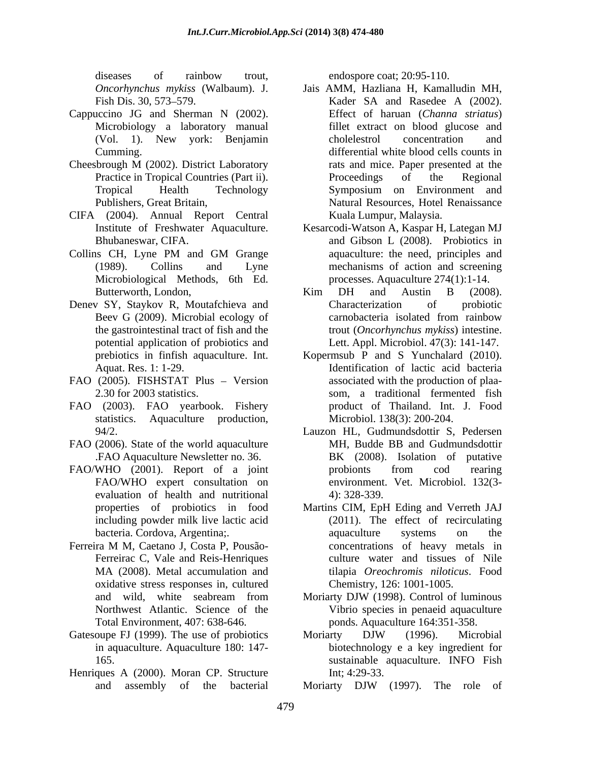diseases of rainbow trout, endospore coat; 20:95-110.

- Cappuccino JG and Sherman N (2002). Microbiology a laboratory manual
- Cheesbrough M (2002). District Laboratory
- CIFA (2004). Annual Report Central
- Microbiological Methods, 6th Ed.
- Denev SY, Staykov R, Moutafchieva and Characterization of probiotic potential application of probiotics and
- FAO (2005). FISHSTAT Plus Version
- FAO (2003). FAO yearbook. Fishery statistics. Aquaculture production,
- FAO (2006). State of the world aquaculture
- FAO/WHO (2001). Report of a joint probionts from cod rearing<br>FAO/WHO expert consultation on environment. Vet. Microbiol. 13203evaluation of health and nutritional (4): 328-339.
- Ferreira M M, Caetano J, Costa P, Pousão oxidative stress responses in, cultured Total Environment, 407: 638-646.
- Gatesoupe FJ (1999). The use of probiotics Moriarty DJW (1996). Microbial
- Henriques A (2000). Moran CP. Structure Int; 4:29-33.

endospore coat; 20:95-110.

- *Oncorhynchus mykiss* (Walbaum). J. Jais AMM, Hazliana H, Kamalludin MH, Fish Dis. 30, 573–579. Kader SA and Rasedee A (2002). (Vol. 1). New york: Benjamin Cumming. differential white blood cells counts in Practice in Tropical Countries (Part ii). Proceedings of the Regional Tropical Health Technology Symposium on Environment and Publishers, Great Britain, Natural Resources, Hotel Renaissance Kader SA and Rasedee A (2002). Effect of haruan (*Channa striatus*) fillet extract on blood glucose and cholelestrol concentration and rats and mice. Paper presented at the Proceedings of the Regional Symposium on Environment and Kuala Lumpur, Malaysia.
- Institute of Freshwater Aquaculture. Kesarcodi-Watson A, Kaspar H, Lategan MJ Bhubaneswar, CIFA. and Gibson L (2008). Probiotics in Collins CH, Lyne PM and GM Grange aquaculture: the need, principles and (1989). Collins and Lyne mechanisms of action and screening aquaculture: the need, principles and processes. Aquaculture 274(1):1-14.
	- Butterworth, London,  $\overline{CH}$  and Austin B (2008). Beev G (2009). Microbial ecology of carnobacteria isolated from rainbow the gastrointestinal tract of fish and the trout (*Oncorhynchus mykiss*) intestine. Kim DH and Austin B (2008). Characterization of probiotic carnobacteria isolated from rainbow Lett. Appl. Microbiol. 47(3): 141-147.
	- prebiotics in finfish aquaculture. Int. Kopermsub P and S Yunchalard (2010). Aquat. Res. 1: 1-29. Identification of lactic acid bacteria 2.30 for 2003 statistics. som, a traditional fermented fish associated with the production of plaa product of Thailand. Int. J. Food Microbiol. 138(3): 200-204.
	- 94/2. Lauzon HL, Gudmundsdottir S, Pedersen FAO Aquaculture Newsletter no. 36. BK (2008). Isolation of putative FAO/WHO expert consultation on environment. Vet. Microbiol. 132(3-MH, Budde BB and Gudmundsdottir BK (2008). Isolation of putative probionts from cod rearing environment. Vet. Microbiol. 132(3- 4): 328-339.
- properties of probiotics in food Martins CIM, EpH Eding and Verreth JAJ including powder milk live lactic acid (2011). The effect of recirculating bacteria. Cordova, Argentina; and a aquaculture systems on the Ferreira M M. Caetano J. Costa P. Pousão- concentrations of heavy metals in Ferreirac C, Vale and Reis-Henriques culture water and tissues of Nile MA (2008). Metal accumulation and tilapia *Oreochromis niloticus*. Food aquaculture systems on the concentrations of heavy metals in Chemistry, 126: 1001-1005.
	- and wild, white seabream from Moriarty DJW (1998). Control of luminous Northwest Atlantic. Science of the Vibrio species in penaeid aquaculture Moriarty DJW (1998). Control of luminous ponds. Aquaculture 164:351-358.
	- in aquaculture. Aquaculture 180: 147- biotechnology e a key ingredient for 165. sustainable aquaculture. INFO Fish Moriarty DJW (1996). Microbial Int; 4:29-33.
	- and assembly of the bacterial Moriarty DJW (1997). The role of